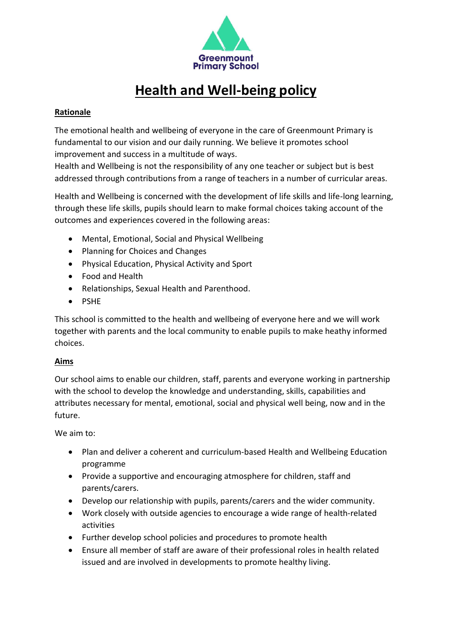

# **Health and Well-being policy**

## **Rationale**

The emotional health and wellbeing of everyone in the care of Greenmount Primary is fundamental to our vision and our daily running. We believe it promotes school improvement and success in a multitude of ways.

Health and Wellbeing is not the responsibility of any one teacher or subject but is best addressed through contributions from a range of teachers in a number of curricular areas.

Health and Wellbeing is concerned with the development of life skills and life-long learning, through these life skills, pupils should learn to make formal choices taking account of the outcomes and experiences covered in the following areas:

- Mental, Emotional, Social and Physical Wellbeing
- Planning for Choices and Changes
- Physical Education, Physical Activity and Sport
- Food and Health
- Relationships, Sexual Health and Parenthood.
- PSHE

This school is committed to the health and wellbeing of everyone here and we will work together with parents and the local community to enable pupils to make heathy informed choices.

#### **Aims**

Our school aims to enable our children, staff, parents and everyone working in partnership with the school to develop the knowledge and understanding, skills, capabilities and attributes necessary for mental, emotional, social and physical well being, now and in the future.

We aim to:

- Plan and deliver a coherent and curriculum-based Health and Wellbeing Education programme
- Provide a supportive and encouraging atmosphere for children, staff and parents/carers.
- Develop our relationship with pupils, parents/carers and the wider community.
- Work closely with outside agencies to encourage a wide range of health-related activities
- Further develop school policies and procedures to promote health
- Ensure all member of staff are aware of their professional roles in health related issued and are involved in developments to promote healthy living.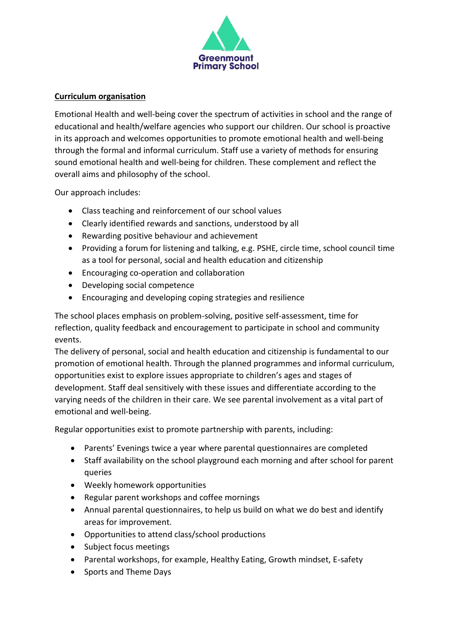

### **Curriculum organisation**

Emotional Health and well-being cover the spectrum of activities in school and the range of educational and health/welfare agencies who support our children. Our school is proactive in its approach and welcomes opportunities to promote emotional health and well-being through the formal and informal curriculum. Staff use a variety of methods for ensuring sound emotional health and well-being for children. These complement and reflect the overall aims and philosophy of the school.

Our approach includes:

- Class teaching and reinforcement of our school values
- Clearly identified rewards and sanctions, understood by all
- Rewarding positive behaviour and achievement
- Providing a forum for listening and talking, e.g. PSHE, circle time, school council time as a tool for personal, social and health education and citizenship
- Encouraging co-operation and collaboration
- Developing social competence
- Encouraging and developing coping strategies and resilience

The school places emphasis on problem-solving, positive self-assessment, time for reflection, quality feedback and encouragement to participate in school and community events.

The delivery of personal, social and health education and citizenship is fundamental to our promotion of emotional health. Through the planned programmes and informal curriculum, opportunities exist to explore issues appropriate to children's ages and stages of development. Staff deal sensitively with these issues and differentiate according to the varying needs of the children in their care. We see parental involvement as a vital part of emotional and well-being.

Regular opportunities exist to promote partnership with parents, including:

- Parents' Evenings twice a year where parental questionnaires are completed
- Staff availability on the school playground each morning and after school for parent queries
- Weekly homework opportunities
- Regular parent workshops and coffee mornings
- Annual parental questionnaires, to help us build on what we do best and identify areas for improvement.
- Opportunities to attend class/school productions
- Subject focus meetings
- Parental workshops, for example, Healthy Eating, Growth mindset, E-safety
- Sports and Theme Days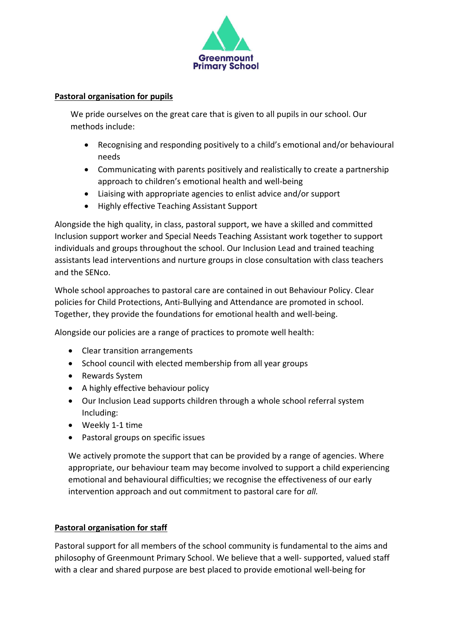

### **Pastoral organisation for pupils**

We pride ourselves on the great care that is given to all pupils in our school. Our methods include:

- Recognising and responding positively to a child's emotional and/or behavioural needs
- Communicating with parents positively and realistically to create a partnership approach to children's emotional health and well-being
- Liaising with appropriate agencies to enlist advice and/or support
- Highly effective Teaching Assistant Support

Alongside the high quality, in class, pastoral support, we have a skilled and committed Inclusion support worker and Special Needs Teaching Assistant work together to support individuals and groups throughout the school. Our Inclusion Lead and trained teaching assistants lead interventions and nurture groups in close consultation with class teachers and the SENco.

Whole school approaches to pastoral care are contained in out Behaviour Policy. Clear policies for Child Protections, Anti-Bullying and Attendance are promoted in school. Together, they provide the foundations for emotional health and well-being.

Alongside our policies are a range of practices to promote well health:

- Clear transition arrangements
- School council with elected membership from all year groups
- Rewards System
- A highly effective behaviour policy
- Our Inclusion Lead supports children through a whole school referral system Including:
- Weekly 1-1 time
- Pastoral groups on specific issues

We actively promote the support that can be provided by a range of agencies. Where appropriate, our behaviour team may become involved to support a child experiencing emotional and behavioural difficulties; we recognise the effectiveness of our early intervention approach and out commitment to pastoral care for *all.*

## **Pastoral organisation for staff**

Pastoral support for all members of the school community is fundamental to the aims and philosophy of Greenmount Primary School. We believe that a well- supported, valued staff with a clear and shared purpose are best placed to provide emotional well-being for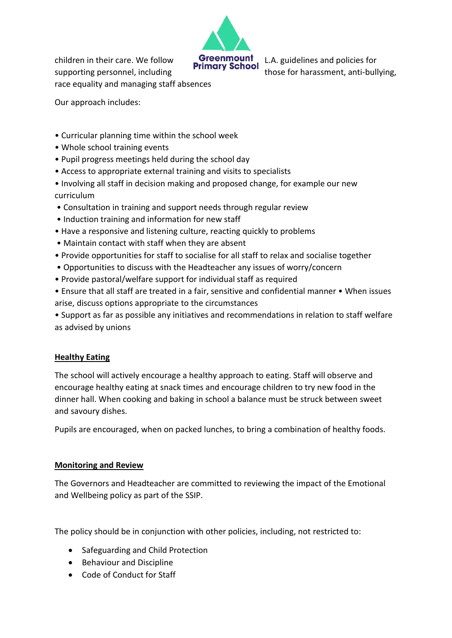

children in their care. We follow **Greenmount** L.A. guidelines and policies for supporting personnel, including those for harassment, anti-bullying, race equality and managing staff absences

Our approach includes:

- Curricular planning time within the school week
- Whole school training events
- Pupil progress meetings held during the school day
- Access to appropriate external training and visits to specialists
- Involving all staff in decision making and proposed change, for example our new curriculum
- Consultation in training and support needs through regular review
- Induction training and information for new staff
- Have a responsive and listening culture, reacting quickly to problems
- Maintain contact with staff when they are absent
- Provide opportunities for staff to socialise for all staff to relax and socialise together
- Opportunities to discuss with the Headteacher any issues of worry/concern
- Provide pastoral/welfare support for individual staff as required
- Ensure that all staff are treated in a fair, sensitive and confidential manner When issues arise, discuss options appropriate to the circumstances

• Support as far as possible any initiatives and recommendations in relation to staff welfare as advised by unions

## **Healthy Eating**

The school will actively encourage a healthy approach to eating. Staff will observe and encourage healthy eating at snack times and encourage children to try new food in the dinner hall. When cooking and baking in school a balance must be struck between sweet and savoury dishes.

Pupils are encouraged, when on packed lunches, to bring a combination of healthy foods.

## **Monitoring and Review**

The Governors and Headteacher are committed to reviewing the impact of the Emotional and Wellbeing policy as part of the SSIP.

The policy should be in conjunction with other policies, including, not restricted to:

- Safeguarding and Child Protection
- Behaviour and Discipline
- Code of Conduct for Staff